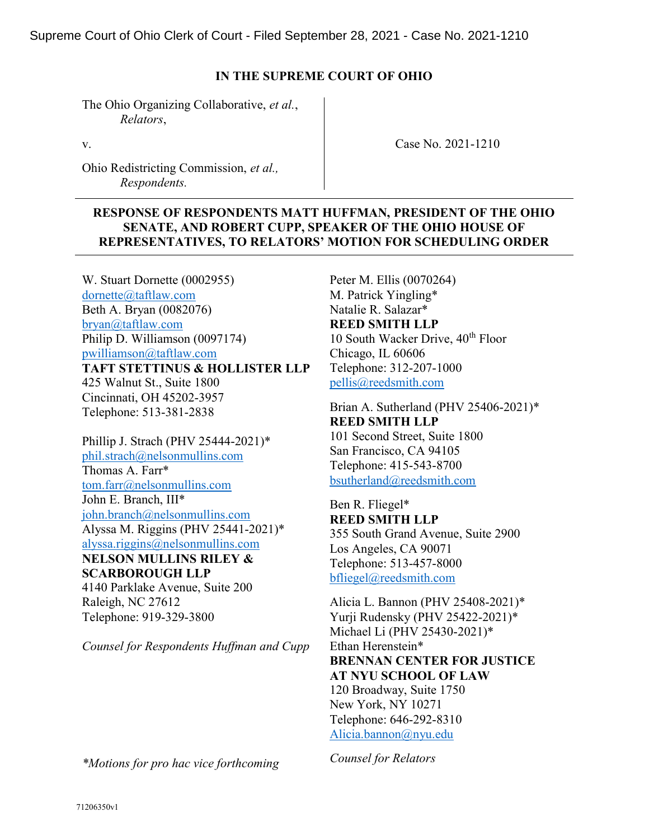## IN THE SUPREME COURT OF OHIO

The Ohio Organizing Collaborative, et al., Relators,

v.

Ohio Redistricting Commission, et al., Respondents.

Case No. 2021-1210

## RESPONSE OF RESPONDENTS MATT HUFFMAN, PRESIDENT OF THE OHIO SENATE, AND ROBERT CUPP, SPEAKER OF THE OHIO HOUSE OF REPRESENTATIVES, TO RELATORS' MOTION FOR SCHEDULING ORDER

W. Stuart Dornette (0002955) dornette@taftlaw.com Beth A. Bryan (0082076) bryan@taftlaw.com Philip D. Williamson (0097174) pwilliamson@taftlaw.com TAFT STETTINUS & HOLLISTER LLP 425 Walnut St., Suite 1800 Cincinnati, OH 45202-3957 Telephone: 513-381-2838

Phillip J. Strach (PHV 25444-2021)\* phil.strach@nelsonmullins.com Thomas A. Farr\* tom.farr@nelsonmullins.com John E. Branch, III\* john.branch@nelsonmullins.com Alyssa M. Riggins (PHV 25441-2021)\* alyssa.riggins@nelsonmullins.com NELSON MULLINS RILEY & SCARBOROUGH LLP 4140 Parklake Avenue, Suite 200 Raleigh, NC 27612 Telephone: 919-329-3800

Counsel for Respondents Huffman and Cupp

\*Motions for pro hac vice forthcoming

Peter M. Ellis (0070264) M. Patrick Yingling\* Natalie R. Salazar\* REED SMITH LLP 10 South Wacker Drive, 40<sup>th</sup> Floor Chicago, IL 60606 Telephone: 312-207-1000 pellis@reedsmith.com

Brian A. Sutherland (PHV 25406-2021)\* REED SMITH LLP 101 Second Street, Suite 1800 San Francisco, CA 94105 Telephone: 415-543-8700 bsutherland@reedsmith.com

Ben R. Fliegel\* REED SMITH LLP 355 South Grand Avenue, Suite 2900 Los Angeles, CA 90071 Telephone: 513-457-8000 bfliegel@reedsmith.com

Alicia L. Bannon (PHV 25408-2021)\* Yurji Rudensky (PHV 25422-2021)\* Michael Li (PHV 25430-2021)\* Ethan Herenstein\* BRENNAN CENTER FOR JUSTICE AT NYU SCHOOL OF LAW 120 Broadway, Suite 1750 New York, NY 10271 Telephone: 646-292-8310 Alicia.bannon@nyu.edu

Counsel for Relators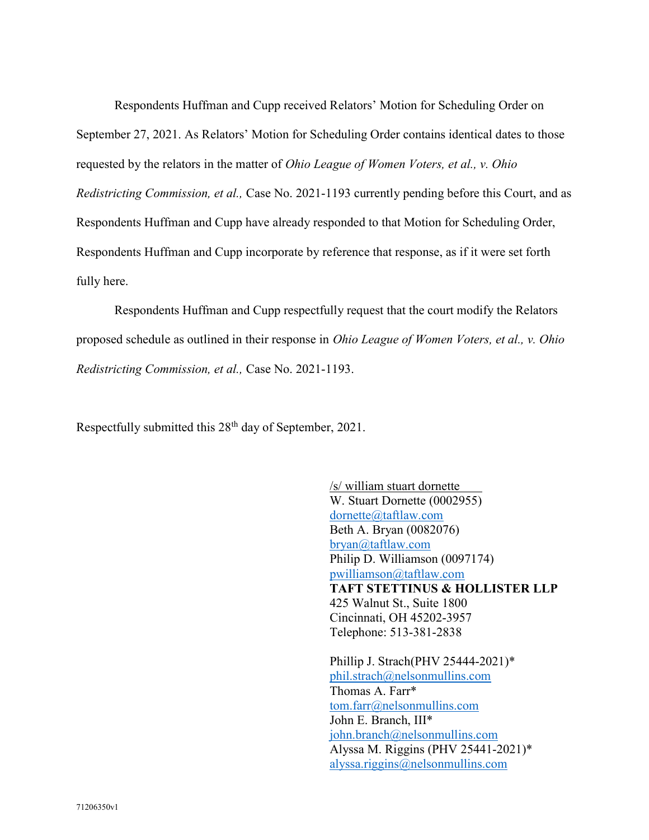Respondents Huffman and Cupp received Relators' Motion for Scheduling Order on September 27, 2021. As Relators' Motion for Scheduling Order contains identical dates to those requested by the relators in the matter of Ohio League of Women Voters, et al., v. Ohio Redistricting Commission, et al., Case No. 2021-1193 currently pending before this Court, and as Respondents Huffman and Cupp have already responded to that Motion for Scheduling Order, Respondents Huffman and Cupp incorporate by reference that response, as if it were set forth fully here.

Respondents Huffman and Cupp respectfully request that the court modify the Relators proposed schedule as outlined in their response in Ohio League of Women Voters, et al., v. Ohio Redistricting Commission, et al., Case No. 2021-1193.

Respectfully submitted this 28<sup>th</sup> day of September, 2021.

/s/ william stuart dornette W. Stuart Dornette (0002955) dornette@taftlaw.com Beth A. Bryan (0082076) bryan@taftlaw.com Philip D. Williamson (0097174) pwilliamson@taftlaw.com TAFT STETTINUS & HOLLISTER LLP 425 Walnut St., Suite 1800 Cincinnati, OH 45202-3957 Telephone: 513-381-2838

Phillip J. Strach(PHV 25444-2021)\* phil.strach@nelsonmullins.com Thomas A. Farr\* tom.farr@nelsonmullins.com John E. Branch, III\* john.branch@nelsonmullins.com Alyssa M. Riggins (PHV 25441-2021)\* alyssa.riggins@nelsonmullins.com